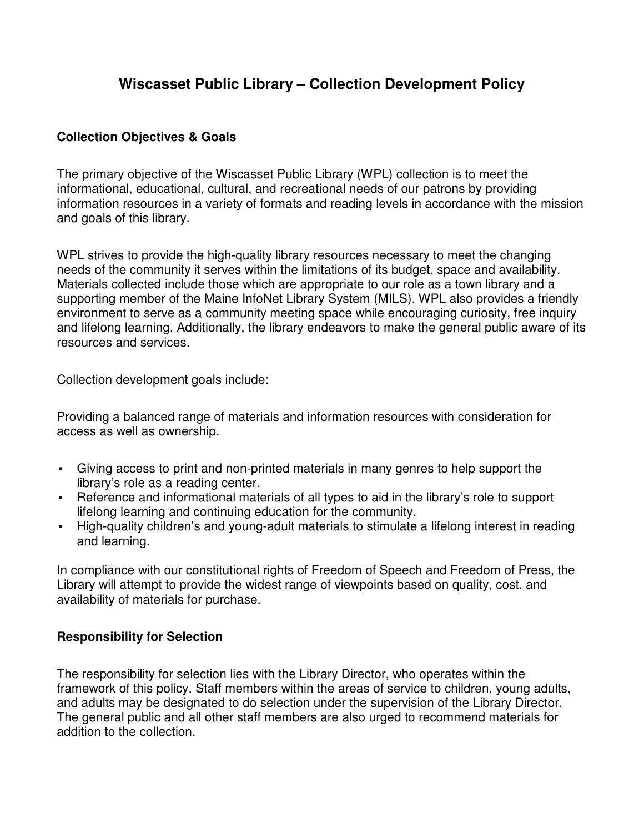# **Wiscasset Public Library – Collection Development Policy**

#### **Collection Objectives & Goals**

The primary objective of the Wiscasset Public Library (WPL) collection is to meet the informational, educational, cultural, and recreational needs of our patrons by providing information resources in a variety of formats and reading levels in accordance with the mission and goals of this library.

WPL strives to provide the high-quality library resources necessary to meet the changing needs of the community it serves within the limitations of its budget, space and availability. Materials collected include those which are appropriate to our role as a town library and a supporting member of the Maine InfoNet Library System (MILS). WPL also provides a friendly environment to serve as a community meeting space while encouraging curiosity, free inquiry and lifelong learning. Additionally, the library endeavors to make the general public aware of its resources and services.

Collection development goals include:

Providing a balanced range of materials and information resources with consideration for access as well as ownership.

- Giving access to print and non-printed materials in many genres to help support the library's role as a reading center.
- Reference and informational materials of all types to aid in the library's role to support lifelong learning and continuing education for the community.
- High-quality children's and young-adult materials to stimulate a lifelong interest in reading and learning.

In compliance with our constitutional rights of Freedom of Speech and Freedom of Press, the Library will attempt to provide the widest range of viewpoints based on quality, cost, and availability of materials for purchase.

#### **Responsibility for Selection**

The responsibility for selection lies with the Library Director, who operates within the framework of this policy. Staff members within the areas of service to children, young adults, and adults may be designated to do selection under the supervision of the Library Director. The general public and all other staff members are also urged to recommend materials for addition to the collection.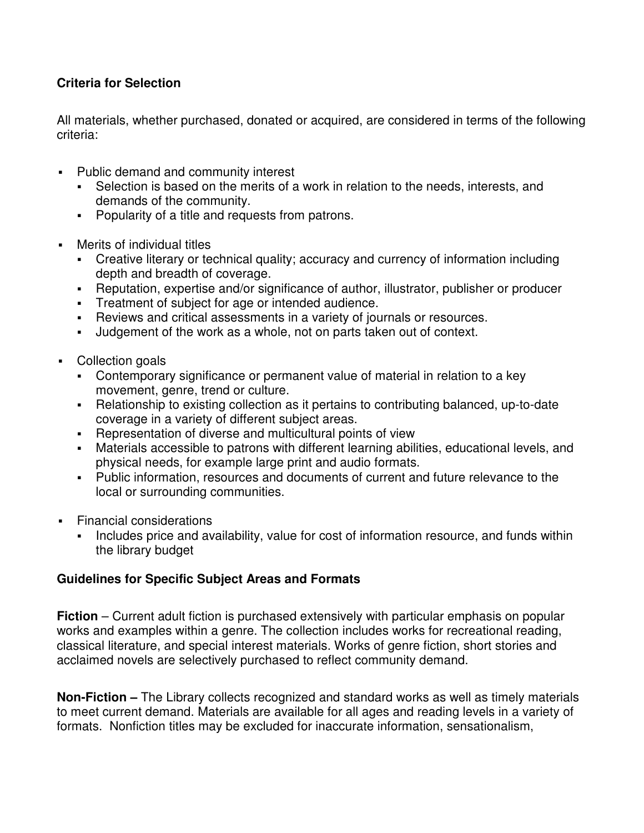## **Criteria for Selection**

All materials, whether purchased, donated or acquired, are considered in terms of the following criteria:

- Public demand and community interest
	- Selection is based on the merits of a work in relation to the needs, interests, and demands of the community.
	- **Popularity of a title and requests from patrons.**
- Merits of individual titles
	- Creative literary or technical quality; accuracy and currency of information including depth and breadth of coverage.
	- Reputation, expertise and/or significance of author, illustrator, publisher or producer
	- **Treatment of subject for age or intended audience.**
	- Reviews and critical assessments in a variety of journals or resources.
	- Judgement of the work as a whole, not on parts taken out of context.
- Collection goals
	- Contemporary significance or permanent value of material in relation to a key movement, genre, trend or culture.
	- Relationship to existing collection as it pertains to contributing balanced, up-to-date coverage in a variety of different subject areas.
	- Representation of diverse and multicultural points of view
	- Materials accessible to patrons with different learning abilities, educational levels, and physical needs, for example large print and audio formats.
	- Public information, resources and documents of current and future relevance to the local or surrounding communities.
- **Financial considerations** 
	- Includes price and availability, value for cost of information resource, and funds within the library budget

#### **Guidelines for Specific Subject Areas and Formats**

**Fiction** – Current adult fiction is purchased extensively with particular emphasis on popular works and examples within a genre. The collection includes works for recreational reading, classical literature, and special interest materials. Works of genre fiction, short stories and acclaimed novels are selectively purchased to reflect community demand.

**Non-Fiction –** The Library collects recognized and standard works as well as timely materials to meet current demand. Materials are available for all ages and reading levels in a variety of formats. Nonfiction titles may be excluded for inaccurate information, sensationalism,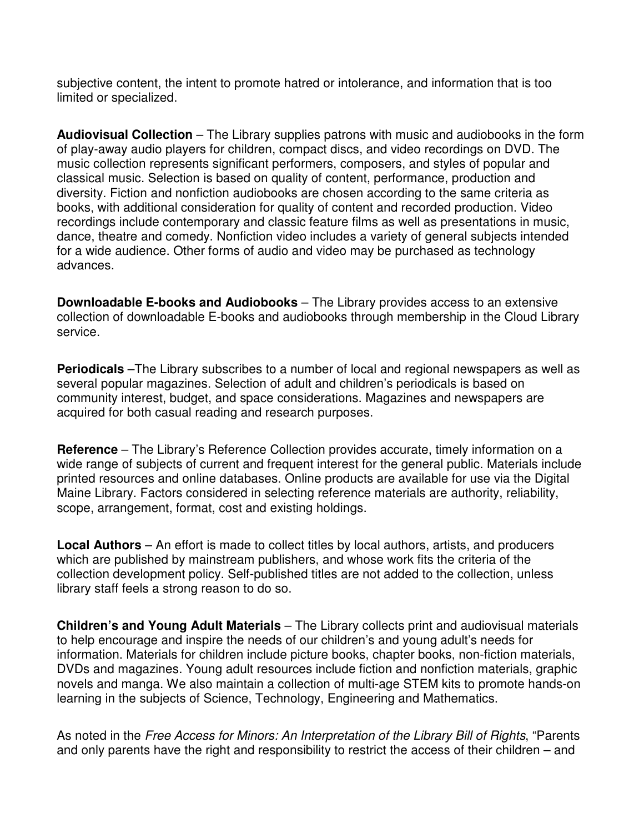subjective content, the intent to promote hatred or intolerance, and information that is too limited or specialized.

**Audiovisual Collection** – The Library supplies patrons with music and audiobooks in the form of play-away audio players for children, compact discs, and video recordings on DVD. The music collection represents significant performers, composers, and styles of popular and classical music. Selection is based on quality of content, performance, production and diversity. Fiction and nonfiction audiobooks are chosen according to the same criteria as books, with additional consideration for quality of content and recorded production. Video recordings include contemporary and classic feature films as well as presentations in music, dance, theatre and comedy. Nonfiction video includes a variety of general subjects intended for a wide audience. Other forms of audio and video may be purchased as technology advances.

**Downloadable E-books and Audiobooks** – The Library provides access to an extensive collection of downloadable E-books and audiobooks through membership in the Cloud Library service.

**Periodicals** –The Library subscribes to a number of local and regional newspapers as well as several popular magazines. Selection of adult and children's periodicals is based on community interest, budget, and space considerations. Magazines and newspapers are acquired for both casual reading and research purposes.

**Reference** – The Library's Reference Collection provides accurate, timely information on a wide range of subjects of current and frequent interest for the general public. Materials include printed resources and online databases. Online products are available for use via the Digital Maine Library. Factors considered in selecting reference materials are authority, reliability, scope, arrangement, format, cost and existing holdings.

**Local Authors** – An effort is made to collect titles by local authors, artists, and producers which are published by mainstream publishers, and whose work fits the criteria of the collection development policy. Self-published titles are not added to the collection, unless library staff feels a strong reason to do so.

**Children's and Young Adult Materials** – The Library collects print and audiovisual materials to help encourage and inspire the needs of our children's and young adult's needs for information. Materials for children include picture books, chapter books, non-fiction materials, DVDs and magazines. Young adult resources include fiction and nonfiction materials, graphic novels and manga. We also maintain a collection of multi-age STEM kits to promote hands-on learning in the subjects of Science, Technology, Engineering and Mathematics.

As noted in the Free Access for Minors: An Interpretation of the Library Bill of Rights, "Parents and only parents have the right and responsibility to restrict the access of their children – and